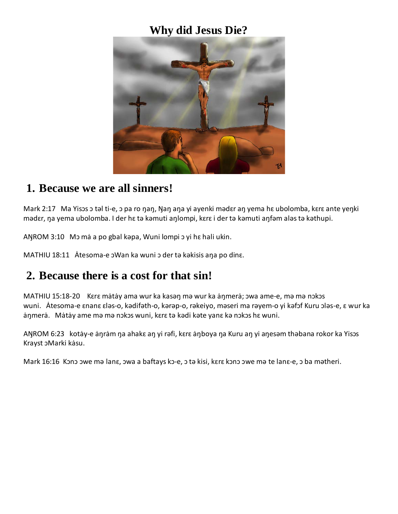#### **Why did Jesus Die?**



#### **1. Because we are all sinners!**

Mark 2:17 Ma Yisɔs ɔ təl ti-e, ɔ pa ro ŋaŋ, Ŋaŋ aŋa yi ayenki mədɛr aŋ yema hɛ ubolomba, kɛrɛ ante yeŋki mədɛr, ŋa yema ubolomba. I der hɛ tə kəmuti aŋlompi, kɛrɛ i der tə kəmuti aŋfəm aləs tə kəthupi.

AŊROM 3:10 Mɔ mȧ a po gbal kəpa, Wuni lompi ɔ yi hɛ hali ukin.

MATHIU 18:11 Àtesoma-e ɔWan ka wuni ɔ der tǝ kǝkisis ana po dinɛ.

#### **2. Because there is a cost for that sin!**

MATHIU 15:18-20 Kere màtày ama wur ka kasan ma wur ka ànmerà; owa ame-e, ma ma nokos wuni. Atesoma-e εnanε εlǝs-o, kǝdifǝth-o, kǝrǝp-o, rǝkeiyo, mǝseri ma rǝyem-o yi kǝfɔf Kuru ɔlǝs-e, ε wur ka ȧŋmerȧ. Mȧtȧy ame mǝ mǝ nɔkɔs wuni, kɛrɛ tǝ kǝdi kǝte yanɛ kǝ nɔkɔs hɛ wuni.

AŊROM 6:23 kotáy-e áŋrám ŋa ahakɛ aŋ yi rəfi, kɛrɛ áŋboya ŋa Kuru aŋ yi aŋesəm thəbana rokor ka Yisɔs Krayst ɔMarki kasu.

Mark 16:16 Kɔnɔ ɔwe mə lanɛ, ɔwa a baftays kɔ-e, ɔ tə kisi, kɛrɛ kɔnɔ ɔwe mə te lanɛ-e, ɔ ba mətheri.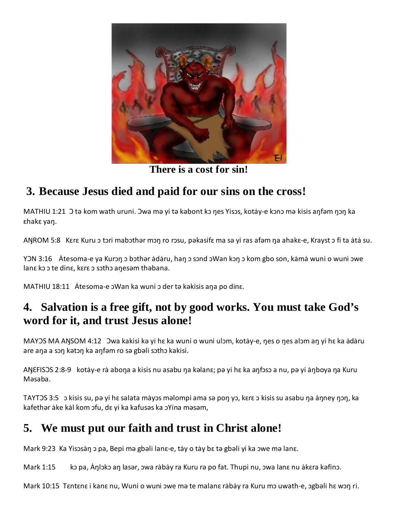

**There is a cost for sin!**

# **3. Because Jesus died and paid for our sins on the cross!**

MATHIU 1:21 Ɔ tǝ kom wath uruni. Ɔwa mǝ yi tǝ kǝbont kɔ ŋes Yisɔs, kotȧy-e kɔnɔ mǝ kisis aŋfǝm ŋɔŋ ka ɛhakɛ yaŋ.

ANROM 5:8 Kere Kuru ɔ tɔri mabɔthər mɔŋ ro rɔsu, pəkasifɛ ma sə yi ras afəm ŋa ahakɛ-e, Krayst ɔ fi ta ata su.

Y��N 3:16 Atesoma-e ya Kurɔŋ ɔ bɔthər adaru, haŋ ɔ sɔnd ɔWan kɔŋ ɔ kom gbo son, kama wuni o wuni ɔwe lanɛ kɔ ɔ te dinɛ, kɛrɛ ɔ sɔthɔ aŋesəm thəbana.

MATHIU 18:11 Àtesoma-e ɔWan ka wuni ɔ der tǝ kǝkisis ana po dinɛ.

### **4. Salvation is a free gift, not by good works. You must take God's word for it, and trust Jesus alone!**

MAYƆS MA AŊSOM 4:12 Ɔwa kakisi kə yi hɛ ka wuni o wuni ulɔm, kotȧy-e, ŋes o ŋes alɔm aŋ yi hɛ ka ȧdȧru are aŋa a sɔŋ kətɔŋ ka aŋfəm ro sə gbəli sɔthɔ kakisi.

AŊɛ̃FISOS 2:8-9 kotáy-e rá aboŋa a kisis nu asabu ŋa kəlanɛ; pə yi hɛ ka aŋfɔsɔ a nu, pə yi áŋboya ŋa Kuru Məsaba.

TAYTƆS 3:5 ɔ kisis su, pə yi hɛ salata mȧyɔs məlompi ama sə poŋ yɔ, kɛrɛ ɔ kisis su asabu ŋa ȧŋney ŋɔŋ, ka kafethər ake kal kom ofu, da yi ka kafusəs ka oYina məsəm,

# **5. We must put our faith and trust in Christ alone!**

Mark 9:23 Ka Yisɔsan ɔ pa, Bepi mə gbəli lanɛ-e, tay o tay bɛ tə gbəli yi ka ɔwe mə lanɛ.

Mark 1:15 kɔ pa, Àŋlɔkɔ aŋ lasər, ɔwa rabay ra Kuru rə po fat. Thupi nu, ɔwa lanɛ nu akɛra kəfinɔ.

Mark 10:15 Tentene i kane nu, Wuni o wuni owe mə te malane rabay ra Kuru mo uwath-e, ogbəli he won ri.